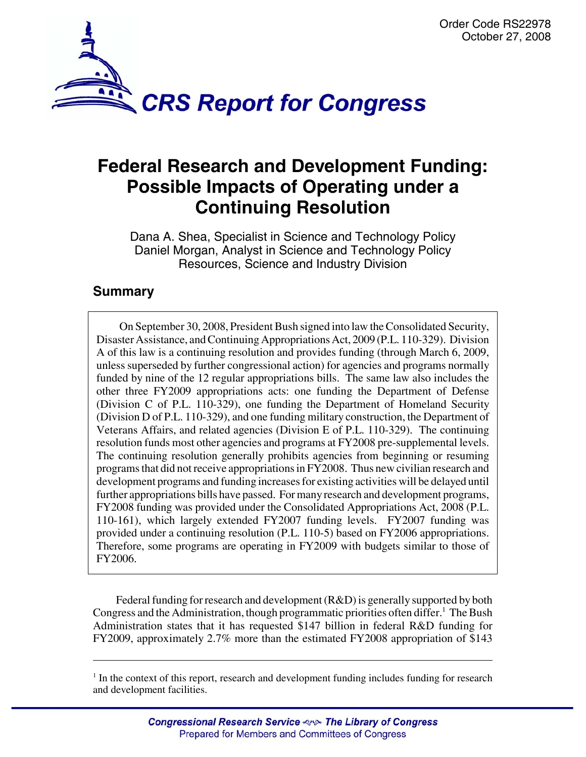

# **Federal Research and Development Funding: Possible Impacts of Operating under a Continuing Resolution**

Dana A. Shea, Specialist in Science and Technology Policy Daniel Morgan, Analyst in Science and Technology Policy Resources, Science and Industry Division

## **Summary**

On September 30, 2008, President Bush signed into law the Consolidated Security, Disaster Assistance, and Continuing Appropriations Act, 2009 (P.L. 110-329). Division A of this law is a continuing resolution and provides funding (through March 6, 2009, unless superseded by further congressional action) for agencies and programs normally funded by nine of the 12 regular appropriations bills. The same law also includes the other three FY2009 appropriations acts: one funding the Department of Defense (Division C of P.L. 110-329), one funding the Department of Homeland Security (Division D of P.L. 110-329), and one funding military construction, the Department of Veterans Affairs, and related agencies (Division E of P.L. 110-329). The continuing resolution funds most other agencies and programs at FY2008 pre-supplemental levels. The continuing resolution generally prohibits agencies from beginning or resuming programs that did not receive appropriations in FY2008. Thus new civilian research and development programs and funding increases for existing activities will be delayed until further appropriations bills have passed. For many research and development programs, FY2008 funding was provided under the Consolidated Appropriations Act, 2008 (P.L. 110-161), which largely extended FY2007 funding levels. FY2007 funding was provided under a continuing resolution (P.L. 110-5) based on FY2006 appropriations. Therefore, some programs are operating in FY2009 with budgets similar to those of FY2006.

Federal funding for research and development (R&D) is generally supported by both Congress and the Administration, though programmatic priorities often differ.<sup>1</sup> The Bush Administration states that it has requested \$147 billion in federal R&D funding for FY2009, approximately 2.7% more than the estimated FY2008 appropriation of \$143

 $<sup>1</sup>$  In the context of this report, research and development funding includes funding for research</sup> and development facilities.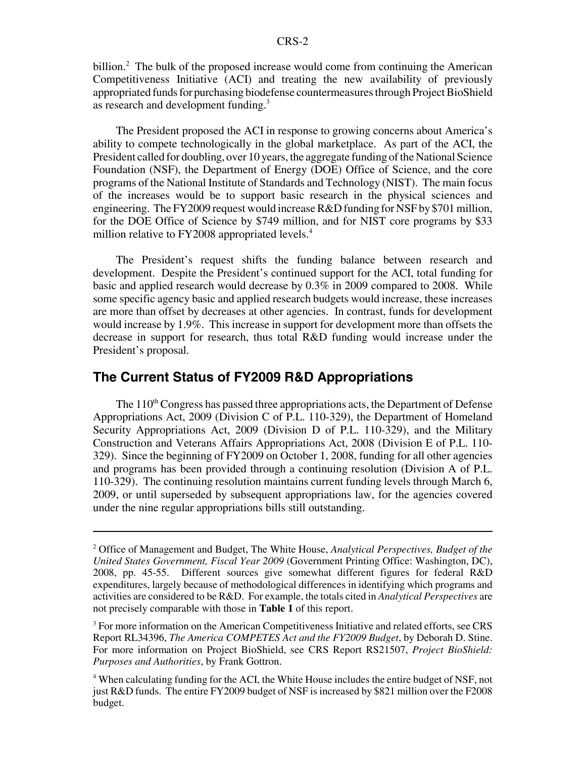billion.<sup>2</sup> The bulk of the proposed increase would come from continuing the American Competitiveness Initiative (ACI) and treating the new availability of previously appropriated funds for purchasing biodefense countermeasures through Project BioShield as research and development funding.<sup>3</sup>

The President proposed the ACI in response to growing concerns about America's ability to compete technologically in the global marketplace. As part of the ACI, the President called for doubling, over 10 years, the aggregate funding of the National Science Foundation (NSF), the Department of Energy (DOE) Office of Science, and the core programs of the National Institute of Standards and Technology (NIST). The main focus of the increases would be to support basic research in the physical sciences and engineering. The FY2009 request would increase R&D funding for NSF by \$701 million, for the DOE Office of Science by \$749 million, and for NIST core programs by \$33 million relative to FY2008 appropriated levels.<sup>4</sup>

The President's request shifts the funding balance between research and development. Despite the President's continued support for the ACI, total funding for basic and applied research would decrease by 0.3% in 2009 compared to 2008. While some specific agency basic and applied research budgets would increase, these increases are more than offset by decreases at other agencies. In contrast, funds for development would increase by 1.9%. This increase in support for development more than offsets the decrease in support for research, thus total R&D funding would increase under the President's proposal.

#### **The Current Status of FY2009 R&D Appropriations**

The 110<sup>th</sup> Congress has passed three appropriations acts, the Department of Defense Appropriations Act, 2009 (Division C of P.L. 110-329), the Department of Homeland Security Appropriations Act, 2009 (Division D of P.L. 110-329), and the Military Construction and Veterans Affairs Appropriations Act, 2008 (Division E of P.L. 110- 329). Since the beginning of FY2009 on October 1, 2008, funding for all other agencies and programs has been provided through a continuing resolution (Division A of P.L. 110-329). The continuing resolution maintains current funding levels through March 6, 2009, or until superseded by subsequent appropriations law, for the agencies covered under the nine regular appropriations bills still outstanding.

<sup>2</sup> Office of Management and Budget, The White House, *Analytical Perspectives, Budget of the United States Government, Fiscal Year 2009* (Government Printing Office: Washington, DC), 2008, pp. 45-55. Different sources give somewhat different figures for federal R&D expenditures, largely because of methodological differences in identifying which programs and activities are considered to be R&D. For example, the totals cited in *Analytical Perspectives* are not precisely comparable with those in **Table 1** of this report.

<sup>&</sup>lt;sup>3</sup> For more information on the American Competitiveness Initiative and related efforts, see CRS Report RL34396, *The America COMPETES Act and the FY2009 Budget*, by Deborah D. Stine. For more information on Project BioShield, see CRS Report RS21507, *Project BioShield: Purposes and Authorities*, by Frank Gottron.

<sup>&</sup>lt;sup>4</sup> When calculating funding for the ACI, the White House includes the entire budget of NSF, not just R&D funds. The entire FY2009 budget of NSF is increased by \$821 million over the F2008 budget.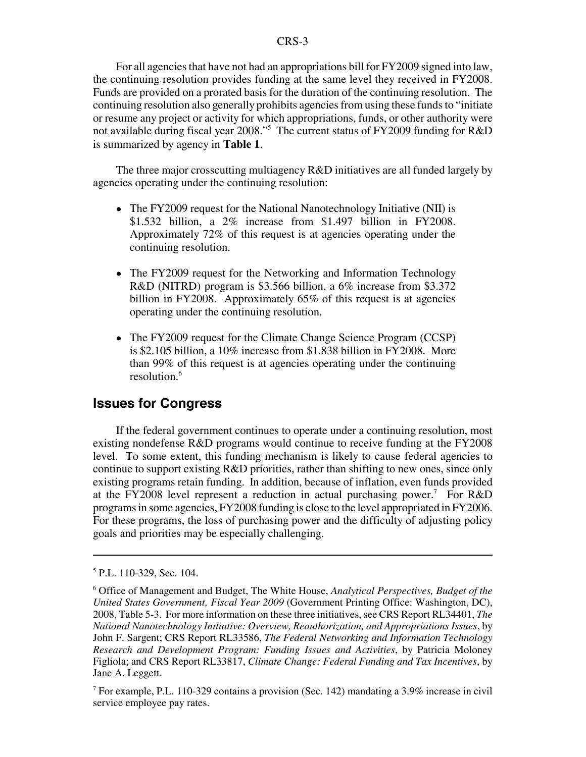For all agencies that have not had an appropriations bill for FY2009 signed into law, the continuing resolution provides funding at the same level they received in FY2008. Funds are provided on a prorated basis for the duration of the continuing resolution. The continuing resolution also generally prohibits agencies from using these funds to "initiate or resume any project or activity for which appropriations, funds, or other authority were not available during fiscal year 2008."5 The current status of FY2009 funding for R&D is summarized by agency in **Table 1**.

The three major crosscutting multiagency R&D initiatives are all funded largely by agencies operating under the continuing resolution:

- The FY2009 request for the National Nanotechnology Initiative (NII) is \$1.532 billion, a 2% increase from \$1.497 billion in FY2008. Approximately 72% of this request is at agencies operating under the continuing resolution.
- The FY2009 request for the Networking and Information Technology R&D (NITRD) program is \$3.566 billion, a 6% increase from \$3.372 billion in FY2008. Approximately 65% of this request is at agencies operating under the continuing resolution.
- The FY2009 request for the Climate Change Science Program (CCSP) is \$2.105 billion, a 10% increase from \$1.838 billion in FY2008. More than 99% of this request is at agencies operating under the continuing resolution.<sup>6</sup>

### **Issues for Congress**

If the federal government continues to operate under a continuing resolution, most existing nondefense R&D programs would continue to receive funding at the FY2008 level. To some extent, this funding mechanism is likely to cause federal agencies to continue to support existing R&D priorities, rather than shifting to new ones, since only existing programs retain funding. In addition, because of inflation, even funds provided at the FY2008 level represent a reduction in actual purchasing power.<sup>7</sup> For R&D programs in some agencies, FY2008 funding is close to the level appropriated in FY2006. For these programs, the loss of purchasing power and the difficulty of adjusting policy goals and priorities may be especially challenging.

<sup>5</sup> P.L. 110-329, Sec. 104.

<sup>6</sup> Office of Management and Budget, The White House, *Analytical Perspectives, Budget of the United States Government, Fiscal Year 2009* (Government Printing Office: Washington, DC), 2008, Table 5-3. For more information on these three initiatives, see CRS Report RL34401, *The National Nanotechnology Initiative: Overview, Reauthorization, and Appropriations Issues*, by John F. Sargent; CRS Report RL33586, *The Federal Networking and Information Technology Research and Development Program: Funding Issues and Activities*, by Patricia Moloney Figliola; and CRS Report RL33817, *Climate Change: Federal Funding and Tax Incentives*, by Jane A. Leggett.

<sup>&</sup>lt;sup>7</sup> For example, P.L. 110-329 contains a provision (Sec. 142) mandating a 3.9% increase in civil service employee pay rates.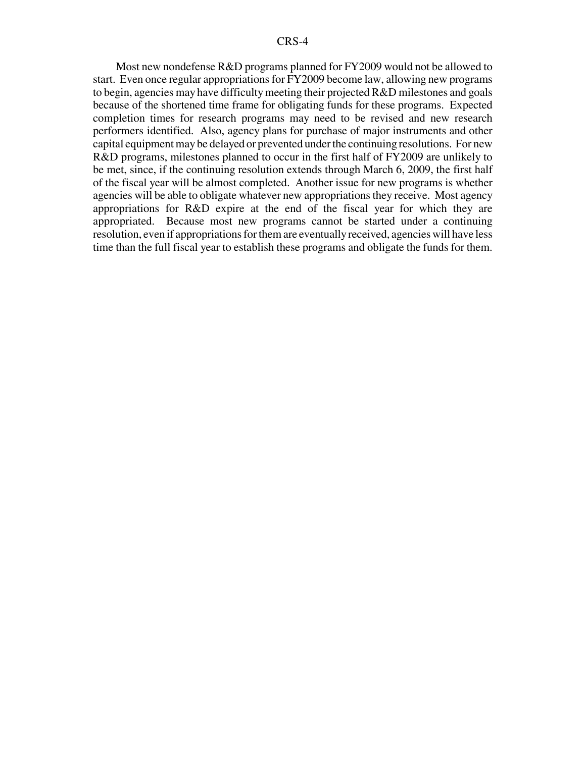Most new nondefense R&D programs planned for FY2009 would not be allowed to start. Even once regular appropriations for FY2009 become law, allowing new programs to begin, agencies may have difficulty meeting their projected R&D milestones and goals because of the shortened time frame for obligating funds for these programs. Expected completion times for research programs may need to be revised and new research performers identified. Also, agency plans for purchase of major instruments and other capital equipment may be delayed or prevented under the continuing resolutions. For new R&D programs, milestones planned to occur in the first half of FY2009 are unlikely to be met, since, if the continuing resolution extends through March 6, 2009, the first half of the fiscal year will be almost completed. Another issue for new programs is whether agencies will be able to obligate whatever new appropriations they receive. Most agency appropriations for R&D expire at the end of the fiscal year for which they are appropriated. Because most new programs cannot be started under a continuing resolution, even if appropriations for them are eventually received, agencies will have less time than the full fiscal year to establish these programs and obligate the funds for them.